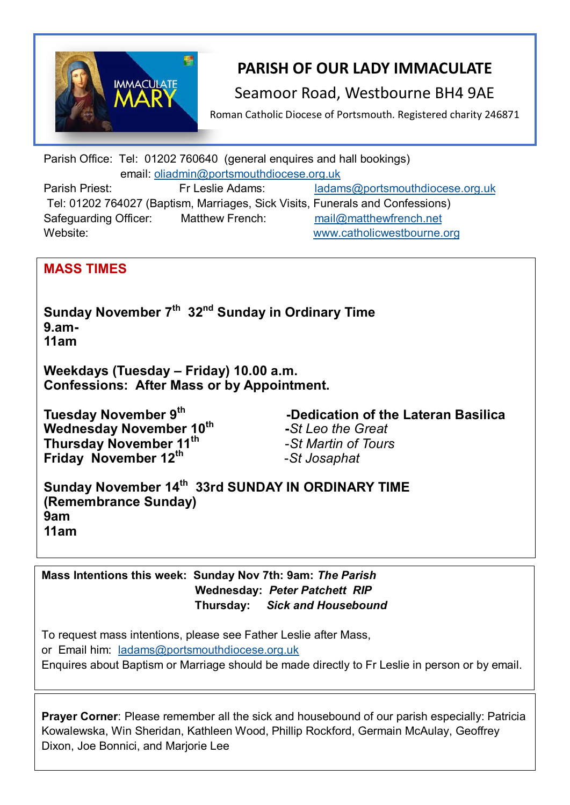

# **PARISH OF OUR LADY IMMACULATE**

### Seamoor Road, Westbourne BH4 9AE

Roman Catholic Diocese of Portsmouth. Registered charity 246871

Parish Office: Tel: 01202 760640 (general enquires and hall bookings) email: [oliadmin@portsmouthdiocese.org.uk](about:blank) Parish Priest: Fr Leslie Adams: [ladams@portsmouthdiocese.org.uk](mailto:ladams@portsmouthdiocese.org.uk) Tel: 01202 764027 (Baptism, Marriages, Sick Visits, Funerals and Confessions) Safeguarding Officer: Matthew French: [mail@matthewfrench.net](about:blank) 

Website: [www.catholicwestbourne.org](about:blank)

### **MASS TIMES**

**Sunday November 7th 32nd Sunday in Ordinary Time 9.am-11am** 

**Weekdays (Tuesday – Friday) 10.00 a.m. Confessions: After Mass or by Appointment.**

**Tuesday November 9th Wednesday November 10th Thursday November 11th Friday November 12th**

 **-Dedication of the Lateran Basilica -***St Leo the Great*-*St Martin of Tours*  -*St Josaphat* 

**Sunday November 14th 33rd SUNDAY IN ORDINARY TIME (Remembrance Sunday) 9am 11am**

**Mass Intentions this week: Sunday Nov 7th: 9am:** *The Parish* **Wednesday:** *Peter Patchett RIP* **Thursday:** *Sick and Housebound*

To request mass intentions, please see Father Leslie after Mass, or Email him: [ladams@portsmouthdiocese.org.uk](mailto:ladams@portsmouthdiocese.org.uk) Enquires about Baptism or Marriage should be made directly to Fr Leslie in person or by email.

**Prayer Corner**: Please remember all the sick and housebound of our parish especially: Patricia Kowalewska, Win Sheridan, Kathleen Wood, Phillip Rockford, Germain McAulay, Geoffrey Dixon, Joe Bonnici, and Marjorie Lee